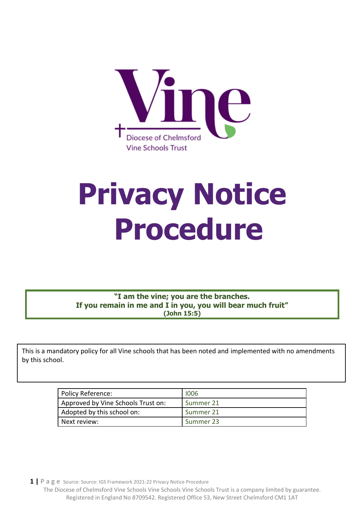

# **Privacy Notice Procedure**

**"I am the vine; you are the branches. If you remain in me and I in you, you will bear much fruit" (John 15:5)**

This is a mandatory policy for all Vine schools that has been noted and implemented with no amendments by this school.

| Policy Reference:                  | 1006      |
|------------------------------------|-----------|
| Approved by Vine Schools Trust on: | Summer 21 |
| Adopted by this school on:         | Summer 21 |
| Next review:                       | Summer 23 |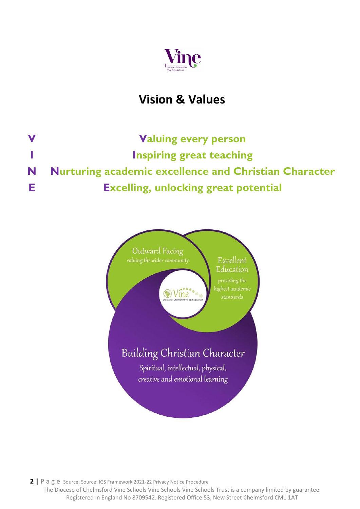

## **Vision & Values**

**V Valuing every person I Inspiring great teaching N Nurturing academic excellence and Christian Character E Excelling, unlocking great potential**

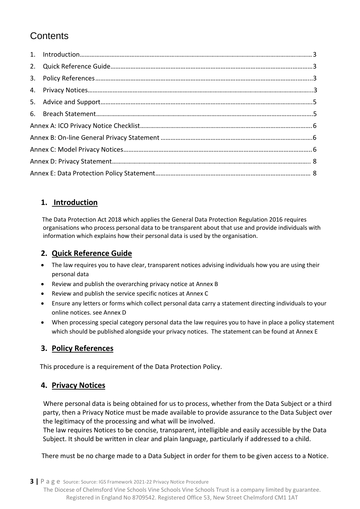### **Contents**

#### <span id="page-2-0"></span>**1. Introduction**

 The Data Protection Act 2018 which applies the General Data Protection Regulation 2016 requires organisations who process personal data to be transparent about that use and provide individuals with information which explains how their personal data is used by the organisation.

#### <span id="page-2-1"></span>**2. Quick Reference Guide**

- The law requires you to have clear, transparent notices advising individuals how you are using their personal data
- Review and publish the overarching privacy notice at Annex B
- Review and publish the service specific notices at Annex C
- Ensure any letters or forms which collect personal data carry a statement directing individuals to your online notices. see Annex D
- When processing special category personal data the law requires you to have in place a policy statement which should be published alongside your privacy notices. The statement can be found at Annex E

#### <span id="page-2-2"></span>**3. Policy References**

This procedure is a requirement of the Data Protection Policy.

#### <span id="page-2-3"></span>**4. Privacy Notices**

 Where personal data is being obtained for us to process, whether from the Data Subject or a third party, then a Privacy Notice must be made available to provide assurance to the Data Subject over the legitimacy of the processing and what will be involved.

 The law requires Notices to be concise, transparent, intelligible and easily accessible by the Data Subject. It should be written in clear and plain language, particularly if addressed to a child.

There must be no charge made to a Data Subject in order for them to be given access to a Notice.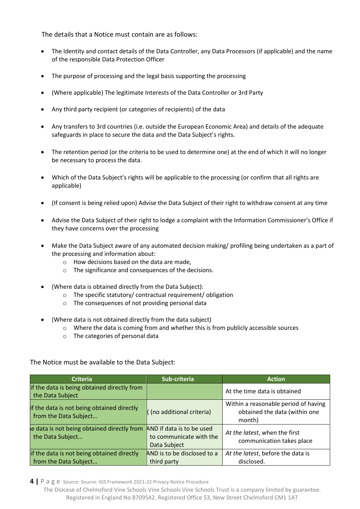The details that a Notice must contain are as follows:

- The Identity and contact details of the Data Controller, any Data Processors (if applicable) and the name of the responsible Data Protection Officer
- The purpose of processing and the legal basis supporting the processing
- (Where applicable) The legitimate Interests of the Data Controller or 3rd Party
- Any third party recipient (or categories of recipients) of the data
- Any transfers to 3rd countries (i.e. outside the European Economic Area) and details of the adequate safeguards in place to secure the data and the Data Subject's rights.
- The retention period (or the criteria to be used to determine one) at the end of which it will no longer be necessary to process the data.
- Which of the Data Subject's rights will be applicable to the processing (or confirm that all rights are applicable)
- (If consent is being relied upon) Advise the Data Subject of their right to withdraw consent at any time
- Advise the Data Subject of their right to lodge a complaint with the Information Commissioner's Office if they have concerns over the processing
- Make the Data Subject aware of any automated decision making/ profiling being undertaken as a part of the processing and information about:
	- o How decisions based on the data are made,
	- o The significance and consequences of the decisions.
- (Where data is obtained directly from the Data Subject):
	- o The specific statutory/ contractual requirement/ obligation
	- o The consequences of not providing personal data
- (Where data is not obtained directly from the data subject)
	- o Where the data is coming from and whether this is from publicly accessible sources
	- o The categories of personal data

The Notice must be available to the Data Subject:

| <b>Criteria</b>                                                     | Sub-criteria                                                         | <b>Action</b>                                                                   |
|---------------------------------------------------------------------|----------------------------------------------------------------------|---------------------------------------------------------------------------------|
| if the data is being obtained directly from<br>the Data Subject     |                                                                      | At the time data is obtained                                                    |
| if the data is not being obtained directly<br>from the Data Subject | ((no additional criteria)                                            | Within a reasonable period of having<br>obtained the data (within one<br>month) |
| e data is not being obtained directly from<br>the Data Subject      | AND if data is to be used<br>to communicate with the<br>Data Subject | At the latest, when the first<br>communication takes place                      |
| if the data is not being obtained directly<br>from the Data Subject | AND is to be disclosed to a<br>third party                           | At the latest, before the data is<br>disclosed.                                 |

**4 |** P a g e Source: Source: IGS Framework 2021-22 Privacy Notice Procedure

The Diocese of Chelmsford Vine Schools Vine Schools Vine Schools Trust is a company limited by guarantee. Registered in England No 8709542. Registered Office 53, New Street Chelmsford CM1 1AT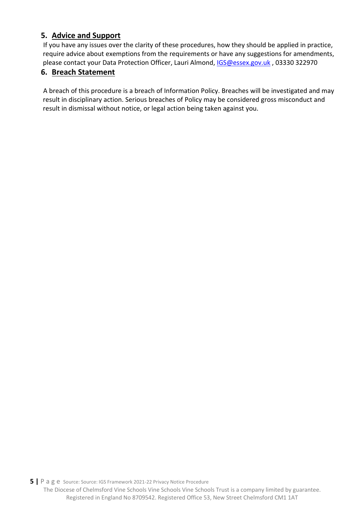#### <span id="page-4-0"></span>**5. Advice and Support**

 If you have any issues over the clarity of these procedures, how they should be applied in practice, require advice about exemptions from the requirements or have any suggestions for amendments, please contact your Data Protection Officer, Lauri Almond, [IGS@essex.gov.uk](mailto:IGS@essex.gov.uk) , 03330 322970

#### <span id="page-4-1"></span>**6. Breach Statement**

 A breach of this procedure is a breach of Information Policy. Breaches will be investigated and may result in disciplinary action. Serious breaches of Policy may be considered gross misconduct and result in dismissal without notice, or legal action being taken against you.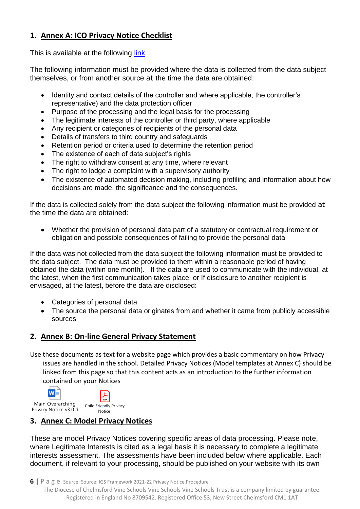#### <span id="page-5-0"></span>**1. Annex A: ICO Privacy Notice Checklist**

This is available at the following [link](https://ico.org.uk/for-organisations/data-protection-reform/overview-of-the-gdpr/individuals-rights/the-right-to-be-informed/)

The following information must be provided where the data is collected from the data subject themselves, or from another source at the time the data are obtained:

- Identity and contact details of the controller and where applicable, the controller's representative) and the data protection officer
- Purpose of the processing and the legal basis for the processing
- The legitimate interests of the controller or third party, where applicable
- Any recipient or categories of recipients of the personal data
- Details of transfers to third country and safeguards
- Retention period or criteria used to determine the retention period
- The existence of each of data subject's rights
- The right to withdraw consent at any time, where relevant
- The right to lodge a complaint with a supervisory authority
- The existence of automated decision making, including profiling and information about how decisions are made, the significance and the consequences.

If the data is collected solely from the data subject the following information must be provided at the time the data are obtained:

• Whether the provision of personal data part of a statutory or contractual requirement or obligation and possible consequences of failing to provide the personal data

If the data was not collected from the data subject the following information must be provided to the data subject. The data must be provided to them within a reasonable period of having obtained the data (within one month). If the data are used to communicate with the individual, at the latest, when the first communication takes place; or If disclosure to another recipient is envisaged, at the latest, before the data are disclosed:

- Categories of personal data
- The source the personal data originates from and whether it came from publicly accessible sources

#### <span id="page-5-1"></span>**2. Annex B: On-line General Privacy Statement**

Use these documents as text for a website page which provides a basic commentary on how Privacy issues are handled in the school. Detailed Privacy Notices (Model templates at Annex C) should be linked from this page so that this content acts as an introduction to the further information contained on your Notices



#### <span id="page-5-2"></span>**3. Annex C: Model Privacy Notices**

These are model Privacy Notices covering specific areas of data processing. Please note, where Legitimate Interests is cited as a legal basis it is necessary to complete a legitimate interests assessment. The assessments have been included below where applicable. Each document, if relevant to your processing, should be published on your website with its own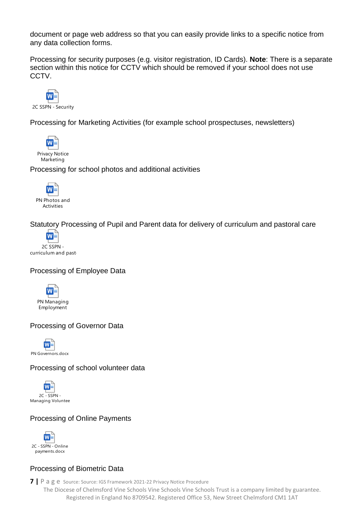document or page web address so that you can easily provide links to a specific notice from any data collection forms.

Processing for security purposes (e.g. visitor registration, ID Cards). **Note**: There is a separate section within this notice for CCTV which should be removed if your school does not use CCTV.



Processing for Marketing Activities (for example school prospectuses, newsletters)



Processing for school photos and additional activities



Statutory Processing of Pupil and Parent data for delivery of curriculum and pastoral care



#### Processing of Employee Data



#### Processing of Governor Data

W≣ PN Governors.docx

#### Processing of school volunteer data



#### Processing of Online Payments



#### Processing of Biometric Data